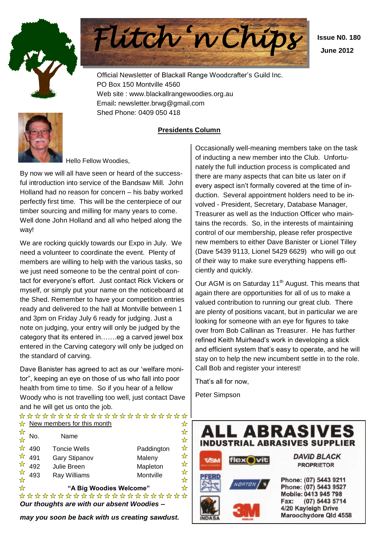



 **Issue N0. 180 June 2012**

Official Newsletter of Blackall Range Woodcrafter"s Guild Inc. PO Box 150 Montville 4560 Web site : www.blackallrangewoodies.org.au Email**:** newsletter.brwg@gmail.com Shed Phone: 0409 050 418



## **Presidents Column**

Hello Fellow Woodies,

By now we will all have seen or heard of the successful introduction into service of the Bandsaw Mill. John Holland had no reason for concern – his baby worked perfectly first time. This will be the centerpiece of our timber sourcing and milling for many years to come. Well done John Holland and all who helped along the way!

We are rocking quickly towards our Expo in July. We need a volunteer to coordinate the event. Plenty of members are willing to help with the various tasks, so we just need someone to be the central point of contact for everyone"s effort. Just contact Rick Vickers or myself, or simply put your name on the noticeboard at the Shed. Remember to have your competition entries ready and delivered to the hall at Montville between 1 and 3pm on Friday July 6 ready for judging. Just a note on judging, your entry will only be judged by the category that its entered in…….eg a carved jewel box entered in the Carving category will only be judged on the standard of carving.

Dave Banister has agreed to act as our "welfare monitor", keeping an eye on those of us who fall into poor health from time to time. So if you hear of a fellow Woody who is not travelling too well, just contact Dave and he will get us onto the job.

\*\*\*\*\*\*\*\*\*\*\*\*\*\*\*\*\*\*\*\*\*\*  $\mathbf{\hat{x}}$  New members for this month

|                           | No. | Name                |                         | ☆      |
|---------------------------|-----|---------------------|-------------------------|--------|
| ☆                         | 490 | <b>Toncie Wells</b> | Paddington              | ☆      |
| $\frac{1}{2}$             | 491 | Gary Stipanov       | Maleny                  | ☆      |
| ☆                         | 492 | Julie Breen         | Mapleton                | ☆      |
| ☆<br>$\frac{1}{\sqrt{2}}$ | 493 | Ray Williams        | Montville               | ☆<br>☆ |
| $\frac{1}{\sqrt{2}}$      |     |                     | "A Big Woodies Welcome" | ☆      |
|                           |     |                     | *************           |        |

*AXXXXXXXXXXXXXX Our thoughts are with our absent Woodies –*

*may you soon be back with us creating sawdust.*

Occasionally well-meaning members take on the task of inducting a new member into the Club. Unfortunately the full induction process is complicated and there are many aspects that can bite us later on if every aspect isn"t formally covered at the time of induction. Several appointment holders need to be involved - President, Secretary, Database Manager, Treasurer as well as the Induction Officer who maintains the records. So, in the interests of maintaining control of our membership, please refer prospective new members to either Dave Banister or Lionel Tilley (Dave 5439 9113, Lionel 5429 6629) who will go out of their way to make sure everything happens efficiently and quickly.

Our AGM is on Saturday 11<sup>th</sup> August. This means that again there are opportunities for all of us to make a valued contribution to running our great club. There are plenty of positions vacant, but in particular we are looking for someone with an eye for figures to take over from Bob Callinan as Treasurer. He has further refined Keith Muirhead"s work in developing a slick and efficient system that"s easy to operate, and he will stay on to help the new incumbent settle in to the role. Call Bob and register your interest!

That"s all for now,

Peter Simpson

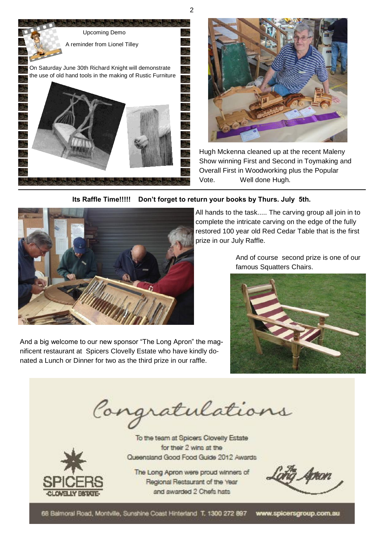



Hugh Mckenna cleaned up at the recent Maleny Show winning First and Second in Toymaking and Overall First in Woodworking plus the Popular Vote. Well done Hugh.

#### **Its Raffle Time!!!!! Don't forget to return your books by Thurs. July 5th.**

2



And a big welcome to our new sponsor "The Long Apron" the magnificent restaurant at Spicers Clovelly Estate who have kindly donated a Lunch or Dinner for two as the third prize in our raffle.

All hands to the task..... The carving group all join in to complete the intricate carving on the edge of the fully restored 100 year old Red Cedar Table that is the first prize in our July Raffle.

> And of course second prize is one of our famous Squatters Chairs.



Congratulations

To the team at Spicers Clovelly Estate for their 2 wins at the Queensland Good Food Guide 2012 Awards

The Long Apron were proud winners of Regional Restaurant of the Year and awarded 2 Chefs hats

anon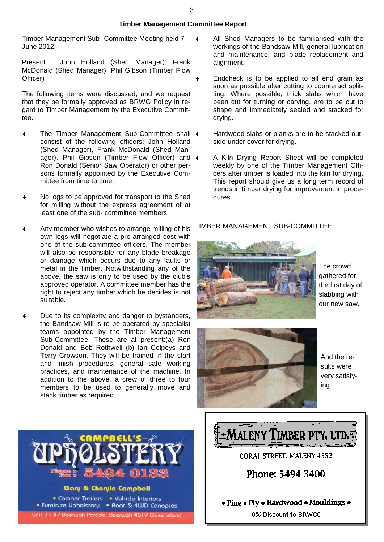$\bullet$ 

### **Timber Management Committee Report**

Timber Management Sub- Committee Meeting held 7 June 2012.

Present: John Holland (Shed Manager), Frank McDonald (Shed Manager), Phil Gibson (Timber Flow Officer)

The following items were discussed, and we request that they be formally approved as BRWG Policy in regard to Timber Management by the Executive Committee.

- The Timber Management Sub-Committee shall  $\triangleleft$ consist of the following officers: John Holland (Shed Manager), Frank McDonald (Shed Manager), Phil Gibson (Timber Flow Officer) and  $\bullet$ Ron Donald (Senior Saw Operator) or other persons formally appointed by the Executive Committee from time to time.
- No logs to be approved for transport to the Shed for milling without the express agreement of at least one of the sub- committee members.
- Any member who wishes to arrange milling of his own logs will negotiate a pre-arranged cost with one of the sub-committee officers. The member will also be responsible for any blade breakage or damage which occurs due to any faults or metal in the timber. Notwithstanding any of the above, the saw is only to be used by the club"s approved operator. A committee member has the right to reject any timber which he decides is not suitable.
- Due to its complexity and danger to bystanders, the Bandsaw Mill is to be operated by specialist teams appointed by the Timber Management Sub-Committee. These are at present:(a) Ron Donald and Bob Rothwell (b) Ian Colpoys and Terry Crowson. They will be trained in the start and finish procedures, general safe working practices, and maintenance of the machine. In addition to the above, a crew of three to four members to be used to generally move and stack timber as required.
- All Shed Managers to be familiarised with the workings of the Bandsaw Mill, general lubrication and maintenance, and blade replacement and alignment.
- Endcheck is to be applied to all end grain as soon as possible after cutting to counteract splitting. Where possible, thick slabs which have been cut for turning or carving, are to be cut to shape and immediately sealed and stacked for drying.
- Hardwood slabs or planks are to be stacked outside under cover for drying.
- A Kiln Drying Report Sheet will be completed weekly by one of the Timber Management Officers after timber is loaded into the kiln for drying. This report should give us a long term record of trends in timber drying for improvement in procedures.

#### TIMBER MANAGEMENT SUB-COMMITTEE



The crowd gathered for the first day of slabbing with our new saw.



And the results were very satisfying.



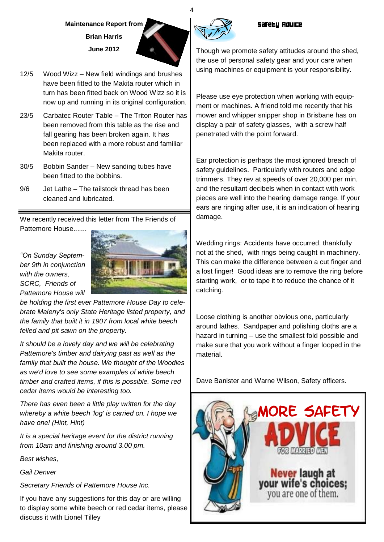# **Maintenance Report from Brian Harris June 2012**



- 12/5 Wood Wizz New field windings and brushes have been fitted to the Makita router which in turn has been fitted back on Wood Wizz so it is now up and running in its original configuration.
- 23/5 Carbatec Router Table The Triton Router has been removed from this table as the rise and fall gearing has been broken again. It has been replaced with a more robust and familiar Makita router.
- 30/5 Bobbin Sander New sanding tubes have been fitted to the bobbins.
- 9/6 Jet Lathe The tailstock thread has been cleaned and lubricated.

We recently received this letter from The Friends of Pattemore House.......

## *"On Sunday September 9th in conjunction with the owners, SCRC, Friends of Pattemore House will*



*be holding the first ever Pattemore House Day to celebrate Maleny's only State Heritage listed property, and the family that built it in 1907 from local white beech felled and pit sawn on the property.*

*It should be a lovely day and we will be celebrating Pattemore's timber and dairying past as well as the family that built the house. We thought of the Woodies as we'd love to see some examples of white beech timber and crafted items, if this is possible. Some red cedar items would be interesting too.*

*There has even been a little play written for the day whereby a white beech 'log' is carried on. I hope we have one! (Hint, Hint)*

*It is a special heritage event for the district running from 10am and finishing around 3.00 pm.* 

*Best wishes,*

*Gail Denver*

*Secretary Friends of Pattemore House Inc.*

If you have any suggestions for this day or are willing to display some white beech or red cedar items, please discuss it with Lionel Tilley



4

## Safety Advice

Though we promote safety attitudes around the shed, the use of personal safety gear and your care when using machines or equipment is your responsibility.

Please use eve protection when working with equipment or machines. A friend told me recently that his mower and whipper snipper shop in Brisbane has on display a pair of safety glasses, with a screw half penetrated with the point forward.

Ear protection is perhaps the most ignored breach of safety guidelines. Particularly with routers and edge trimmers. They rev at speeds of over 20,000 per min. and the resultant decibels when in contact with work pieces are well into the hearing damage range. If your ears are ringing after use, it is an indication of hearing damage.

Wedding rings: Accidents have occurred, thankfully not at the shed, with rings being caught in machinery. This can make the difference between a cut finger and a lost finger! Good ideas are to remove the ring before starting work, or to tape it to reduce the chance of it catching.

Loose clothing is another obvious one, particularly around lathes. Sandpaper and polishing cloths are a hazard in turning – use the smallest fold possible and make sure that you work without a finger looped in the material.

Dave Banister and Warne Wilson, Safety officers.

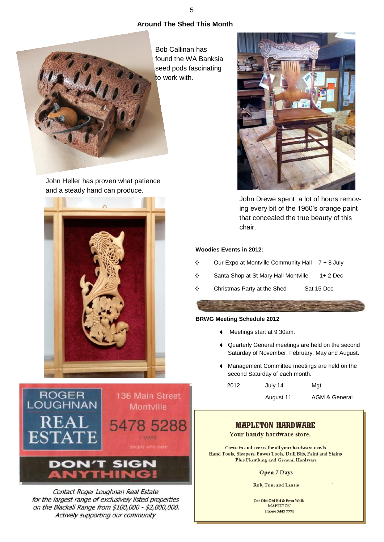### **Around The Shed This Month**



John Heller has proven what patience and a steady hand can produce.





Contact Roger Loughnan Real Estate for the largest range of exclusively listed properties on the Blackall Range from \$100,000 - \$2,000,000. Actively supporting our community



John Drewe spent a lot of hours removing every bit of the 1960"s orange paint that concealed the true beauty of this chair.

#### **Woodies Events in 2012:**

- $\Diamond$ Our Expo at Montville Community Hall 7 + 8 July
- $\Diamond$ Santa Shop at St Mary Hall Montville 1+ 2 Dec
- Ò Christmas Party at the Shed Sat 15 Dec

#### **BRWG Meeting Schedule 2012**

- Meetings start at 9:30am.
- Quarterly General meetings are held on the second Saturday of November, February, May and August.
- Management Committee meetings are held on the  $\bullet$ second Saturday of each month.

| 2012 | July 14   | Mgt           |
|------|-----------|---------------|
|      | August 11 | AGM & General |

## **MAPLETON HARDWARE**

Your handy hardware store.

Come in and see us for all your hardware needs. Hand Tools, Sleepers, Power Tools, Drill Bits, Paint and Stains. Plus Plumbing and General Hardware

#### **Open 7 Days**

Rob, Toni and Laurie

Cnr Obi Obi Rd & Emu Walk **MAPLETON Phone 5445 7773** 

5